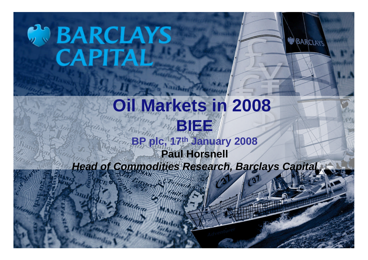# **SO BARCLAYS**

#### **Oil Markets in 2008 BIEE BP plc, 17th January 2008 Paul Horsnell** *Head of Commodities Research, Barclays Capital*

BARCLAYS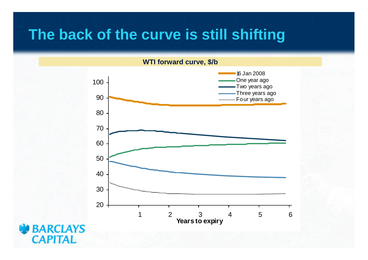## **The back of the curve is still shifting**



**BARCLAYS CAPITAL**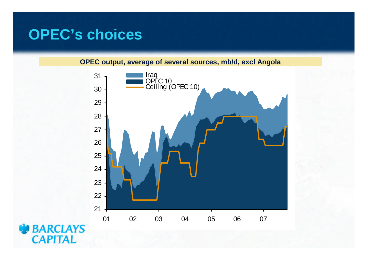# **OPEC's choices**

**OPEC output, average of several sources, mb/d, excl Angola**



**BARCLAYS CAPITAL**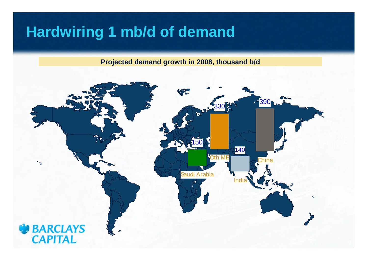# **Hardwiring 1 mb/d of demand**

**Projected demand growth in 2008, thousand b/d**

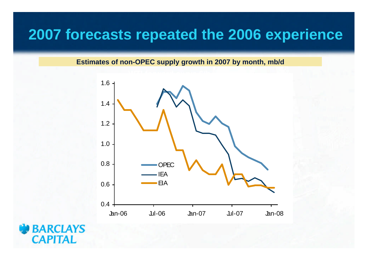#### **2007 forecasts repeated the 2006 experience**

**Estimates of non-OPEC supply growth in 2007 by month, mb/d**



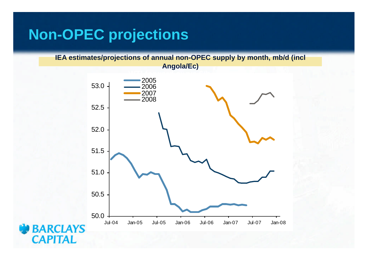#### **Non-OPEC projections**

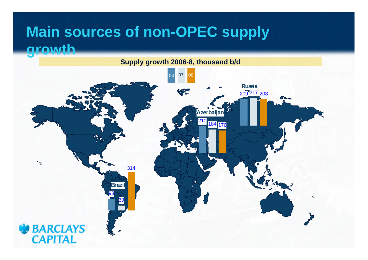## **Main sources of non-OPEC supply growth**

**Supply growth 2006-8, thousand b/d**

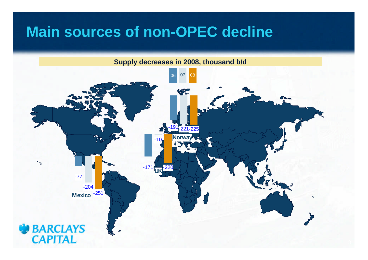### **Main sources of non-OPEC decline**

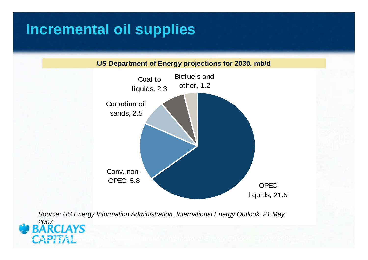# **Incremental oil supplies**





*Source: US Energy Information Administration, International Energy Outlook, 21 May 2007 Source: US Energy Information Administration, International Energy Outlook, 21 May* 2007<br>**BARCLAYS**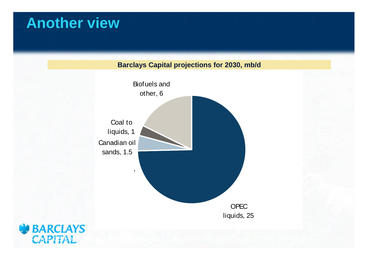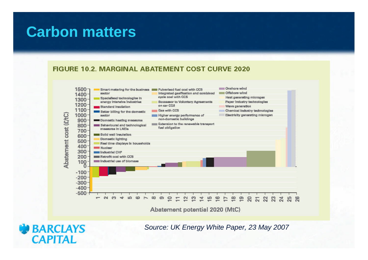#### **Carbon matters**

**BARCLAYS** 

**CAPITAL** 

#### **FIGURE 10.2. MARGINAL ABATEMENT COST CURVE 2020**



*Source: UK Energy White Paper, 23 May 2007*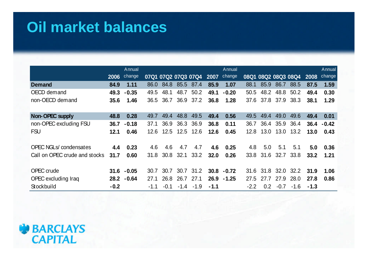# **Oil market balances**

|                               |        | Annual        |        |                     |        |                |        | Annual  |        |           |                |                     |        | Annual  |
|-------------------------------|--------|---------------|--------|---------------------|--------|----------------|--------|---------|--------|-----------|----------------|---------------------|--------|---------|
|                               | 2006   | change        |        | 07Q1 07Q2 07Q3 07Q4 |        |                | 2007   | change  |        |           |                | 08Q1 08Q2 08Q3 08Q4 | 2008   | change  |
| <b>Demand</b>                 | 84.9   | 1.11          | 86.0   | 84.8                |        | 85.5 87.4      | 85.9   | 1.07    | 88.1   | 85.9      | 86.7           | 88.5                | 87.5   | 1.59    |
| OECD demand                   | 49.3   | $-0.35$       | 49.5   | 48.1                | 48.7   | 50.2           | 49.1   | $-0.20$ | 50.5   | 48.2      | 48.8           | 50.2                | 49.4   | 0.30    |
| non-OECD demand               | 35.6   | 1.46          | 36.5   |                     |        | 36.7 36.9 37.2 | 36.8   | 1.28    |        |           | 37.6 37.8 37.9 | 38.3                | 38.1   | 1.29    |
|                               |        |               |        |                     |        |                |        |         |        |           |                |                     |        |         |
| Non-OPEC supply               | 48.8   | 0.28          | 49.7   | 49.4                | 48.8   | 49.5           | 49.4   | 0.56    | 49.5   | 49.4      | 49.0           | 49.6                | 49.4   | 0.01    |
| non-OPEC excluding FSU        | 36.7   | $-0.18$       | 37.1   | 36.9                | 36.3   | 36.9           | 36.8   | 0.11    | 36.7   | 36.4      | 35.9           | 36.4                | 36.4   | $-0.42$ |
| <b>FSU</b>                    | 12.1   | 0.46          | 12.6   |                     |        | 12.5 12.5 12.6 | 12.6   | 0.45    | 12.8   | 13.0      | 13.0           | 13.2                | 13.0   | 0.43    |
|                               |        |               |        |                     |        |                |        |         |        |           |                |                     |        |         |
| <b>OPEC NGLs/</b> condensates | 4.4    | 0.23          | 4.6    | 4.6                 | 4.7    | 4.7            | 4.6    | 0.25    | 4.8    | 5.0       | 5.1            | 5.1                 | 5.0    | 0.36    |
| Call on OPEC crude and stocks | 31.7   | 0.60          | 31.8   | 30.8                | 32.1   | 33.2           | 32.0   | 0.26    |        | 33.8 31.6 | 32.7           | 33.8                | 33.2   | 1.21    |
|                               |        |               |        |                     |        |                |        |         |        |           |                |                     |        |         |
| OPEC crude                    |        | $31.6 - 0.05$ | 30.7   | 30.7                | 30.7   | 31.2           | 30.8   | $-0.72$ | 31.6   |           |                | 31.8 32.0 32.2      | 31.9   | 1.06    |
| OPEC excluding Iraq           | 28.2   | $-0.64$       | 27.1   | 26.8                |        | 26.7 27.1      | 26.9   | $-1.25$ | 27.5   | 27.7      | 27.9           | 28.0                | 27.8   | 0.86    |
| Stockbuild                    | $-0.2$ |               | $-1.1$ | $-0.1$              | $-1.4$ | $-1.9$         | $-1.1$ |         | $-2.2$ | 0.2       | $-0.7$         | $-1.6$              | $-1.3$ |         |